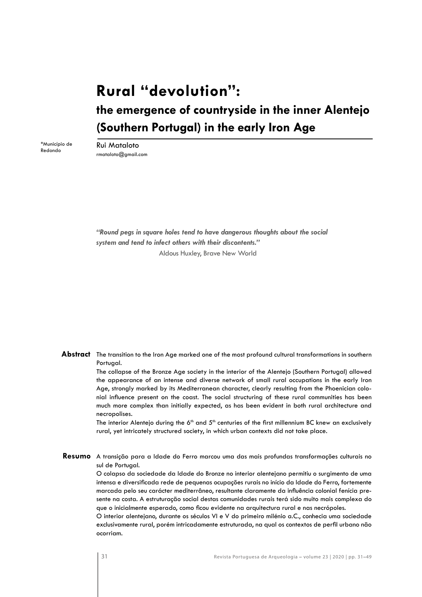# **Rural "devolution": the emergence of countryside in the inner Alentejo (Southern Portugal) in the early Iron Age**

\*Município de Redondo

Rui Mataloto rmataloto@gmail.com

*"Round pegs in square holes tend to have dangerous thoughts about the social system and tend to infect others with their discontents."* Aldous Huxley, Brave New World

Abstract The transition to the Iron Age marked one of the most profound cultural transformations in southern Portugal.

> The collapse of the Bronze Age society in the interior of the Alentejo (Southern Portugal) allowed the appearance of an intense and diverse network of small rural occupations in the early Iron Age, strongly marked by its Mediterranean character, clearly resulting from the Phoenician colonial influence present on the coast. The social structuring of these rural communities has been much more complex than initially expected, as has been evident in both rural architecture and necropolises.

> The interior Alentejo during the  $6<sup>th</sup>$  and  $5<sup>th</sup>$  centuries of the first millennium BC knew an exclusively rural, yet intricately structured society, in which urban contexts did not take place.

**Resumo** A transição para a Idade do Ferro marcou uma das mais profundas transformações culturais no sul de Portugal.

> O colapso da sociedade da Idade do Bronze no interior alentejano permitiu o surgimento de uma intensa e diversificada rede de pequenas ocupações rurais no início da Idade do Ferro, fortemente marcada pelo seu carácter mediterrâneo, resultante claramente da influência colonial fenícia presente na costa. A estruturação social destas comunidades rurais terá sido muito mais complexa do que o inicialmente esperado, como ficou evidente na arquitectura rural e nas necrópoles.

> O interior alentejano, durante os séculos VI e V do primeiro milénio a.C., conhecia uma sociedade exclusivamente rural, porém intricadamente estruturada, na qual os contextos de perfil urbano não ocorriam.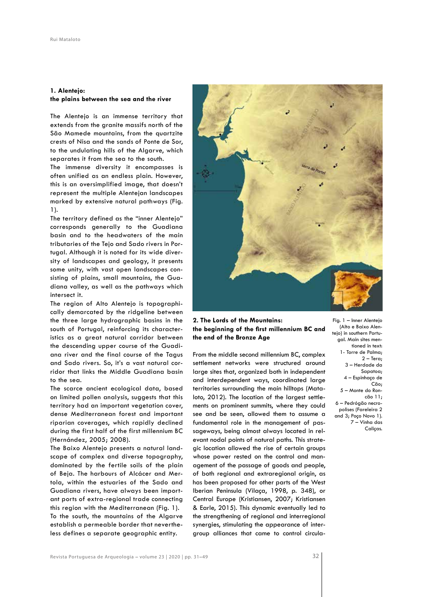## **1. Alentejo: the plains between the sea and the river**

The Alentejo is an immense territory that extends from the granite massifs north of the São Mamede mountains, from the quartzite crests of Nisa and the sands of Ponte de Sor, to the undulating hills of the Algarve, which separates it from the sea to the south.

The immense diversity it encompasses is often unified as an endless plain. However, this is an oversimplified image, that doesn't represent the multiple Alentejan landscapes marked by extensive natural pathways (Fig. 1).

The territory defined as the "inner Alentejo" corresponds generally to the Guadiana basin and to the headwaters of the main tributaries of the Tejo and Sado rivers in Portugal. Although it is noted for its wide diversity of landscapes and geology, it presents some unity, with vast open landscapes consisting of plains, small mountains, the Guadiana valley, as well as the pathways which intersect it.

The region of Alto Alentejo is topographically demarcated by the ridgeline between the three large hydrographic basins in the south of Portugal, reinforcing its characteristics as a great natural corridor between the descending upper course of the Guadiana river and the final course of the Tagus and Sado rivers. So, it's a vast natural corridor that links the Middle Guadiana basin to the sea.

The scarce ancient ecological data, based on limited pollen analysis, suggests that this territory had an important vegetation cover, dense Mediterranean forest and important riparian coverages, which rapidly declined during the first half of the first millennium BC (Hernández, 2005; 2008).

The Baixo Alentejo presents a natural landscape of complex and diverse topography, dominated by the fertile soils of the plain of Beja. The harbours of Alcácer and Mertola, within the estuaries of the Sado and Guadiana rivers, have always been important ports of extra-regional trade connecting this region with the Mediterranean (Fig. 1). To the south, the mountains of the Algarve establish a permeable border that nevertheless defines a separate geographic entity.



**2. The Lords of the Mountains: the beginning of the first millennium BC and the end of the Bronze Age** 

From the middle second millennium BC, complex settlement networks were structured around large sites that, organized both in independent and interdependent ways, coordinated large territories surrounding the main hilltops (Mataloto, 2012). The location of the largest settlements on prominent summits, where they could see and be seen, allowed them to assume a fundamental role in the management of passageways, being almost always located in relevant nodal points of natural paths. This strategic location allowed the rise of certain groups whose power rested on the control and management of the passage of goods and people, of both regional and extraregional origin, as has been proposed for other parts of the West Iberian Peninsula (Vilaça, 1998, p. 348), or Central Europe (Kristiansen, 2007; Kristiansen & Earle, 2015). This dynamic eventually led to the strengthening of regional and interregional synergies, stimulating the appearance of intergroup alliances that came to control circula-

Fig. 1 – Inner Alentejo (Alto e Baixo Alentejo) in southern Portugal. Main sites mentioned in text: 1- Torre de Palma; 2 – Tera; 3 – Herdade da Sapatoa; 4 – Espinhaço de Cão; 5 – Monte do Roncão 11; 6 – Pedrógão necropolises (Fareleira 2 and 3; Poço Novo 1). 7 – Vinha das Caliças.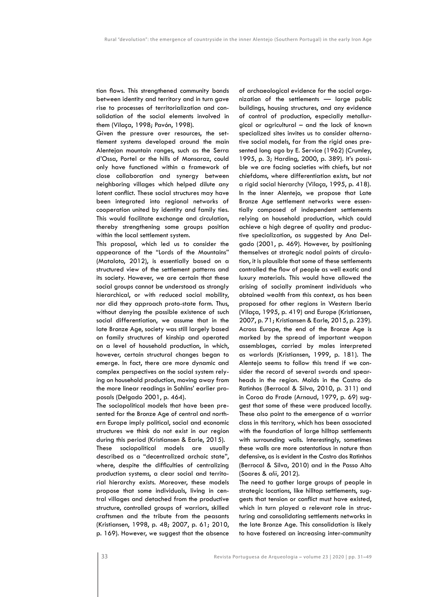tion flows. This strengthened community bonds between identity and territory and in turn gave rise to processes of territorialization and consolidation of the social elements involved in them (Vilaça, 1998; Pavón, 1998).

Given the pressure over resources, the settlement systems developed around the main Alentejan mountain ranges, such as the Serra d'Ossa, Portel or the hills of Monsaraz, could only have functioned within a framework of close collaboration and synergy between neighboring villages which helped dilute any latent conflict. These social structures may have been integrated into regional networks of cooperation united by identity and family ties. This would facilitate exchange and circulation, thereby strengthening some groups position within the local settlement system.

This proposal, which led us to consider the appearance of the "Lords of the Mountains" (Mataloto, 2012), is essentially based on a structured view of the settlement patterns and its society. However, we are certain that these social groups cannot be understood as strongly hierarchical, or with reduced social mobility, nor did they approach proto-state form. Thus, without denying the possible existence of such social differentiation, we assume that in the late Bronze Age, society was still largely based on family structures of kinship and operated on a level of household production, in which, however, certain structural changes began to emerge. In fact, there are more dynamic and complex perspectives on the social system relying on household production, moving away from the more linear readings in Sahlins' earlier proposals (Delgado 2001, p. 464).

The sociopolitical models that have been presented for the Bronze Age of central and northern Europe imply political, social and economic structures we think do not exist in our region during this period (Kristiansen & Earle, 2015). These sociopolitical models are usually described as a "decentralized archaic state", where, despite the difficulties of centralizing production systems, a clear social and territorial hierarchy exists. Moreover, these models propose that some individuals, living in central villages and detached from the productive structure, controlled groups of warriors, skilled craftsmen and the tribute from the peasants (Kristiansen, 1998, p. 48; 2007, p. 61; 2010, p. 169). However, we suggest that the absence

of archaeological evidence for the social organization of the settlements — large public buildings, housing structures, and any evidence of control of production, especially metallurgical or agricultural – and the lack of known specialized sites invites us to consider alternative social models, far from the rigid ones presented long ago by E. Service (1962) (Crumley, 1995, p. 3; Harding, 2000, p. 389). It's possible we are facing societies with chiefs, but not chiefdoms, where differentiation exists, but not a rigid social hierarchy (Vilaça, 1995, p. 418). In the inner Alentejo, we propose that Late Bronze Age settlement networks were essentially composed of independent settlements relying on household production, which could achieve a high degree of quality and productive specialization, as suggested by Ana Delgado (2001, p. 469). However, by positioning themselves at strategic nodal points of circulation, it is plausible that some of these settlements controlled the flow of people as well exotic and luxury materials. This would have allowed the arising of socially prominent individuals who obtained wealth from this context, as has been proposed for other regions in Western Iberia (Vilaça, 1995, p. 419) and Europe (Kristiansen, 2007, p. 71; Kristiansen & Earle, 2015, p. 239). Across Europe, the end of the Bronze Age is marked by the spread of important weapon assemblages, carried by males interpreted as warlords (Kristiansen, 1999, p. 181). The Alentejo seems to follow this trend if we consider the record of several swords and spearheads in the region. Molds in the Castro do Ratinhos (Berrocal & Silva, 2010, p. 311) and in Coroa do Frade (Arnaud, 1979, p. 69) suggest that some of these were produced locally. These also point to the emergence of a warrior class in this territory, which has been associated with the foundation of large hilltop settlements with surrounding walls. Interestingly, sometimes these walls are more ostentatious in nature than defensive, as is evident in the Castro dos Ratinhos (Berrocal & Silva, 2010) and in the Passo Alto (Soares & *alii*, 2012).

The need to gather large groups of people in strategic locations, like hilltop settlements, suggests that tension or conflict must have existed, which in turn played a relevant role in structuring and consolidating settlements networks in the late Bronze Age. This consolidation is likely to have fostered an increasing inter-community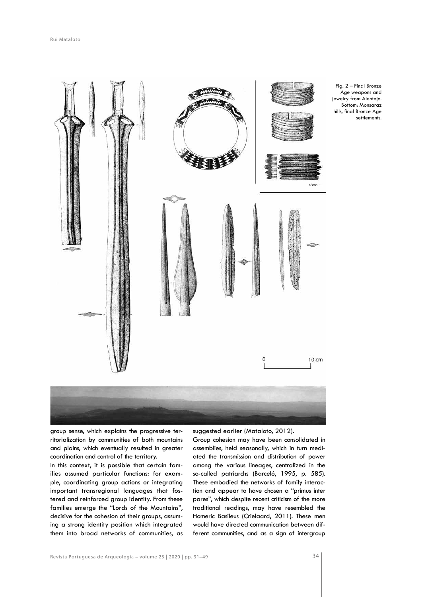

group sense, which explains the progressive territorialization by communities of both mountains and plains, which eventually resulted in greater coordination and control of the territory.

In this context, it is possible that certain families assumed particular functions: for example, coordinating group actions or integrating important transregional languages that fostered and reinforced group identity. From these families emerge the "Lords of the Mountains", decisive for the cohesion of their groups, assuming a strong identity position which integrated them into broad networks of communities, as

suggested earlier (Mataloto, 2012).

Group cohesion may have been consolidated in assemblies, held seasonally, which in turn mediated the transmission and distribution of power among the various lineages, centralized in the so-called patriarchs (Barceló, 1995, p. 585). These embodied the networks of family interaction and appear to have chosen a "primus inter pares", which despite recent criticism of the more traditional readings, may have resembled the Homeric Basileus (Crielaard, 2011). These men would have directed communication between different communities, and as a sign of intergroup settlements.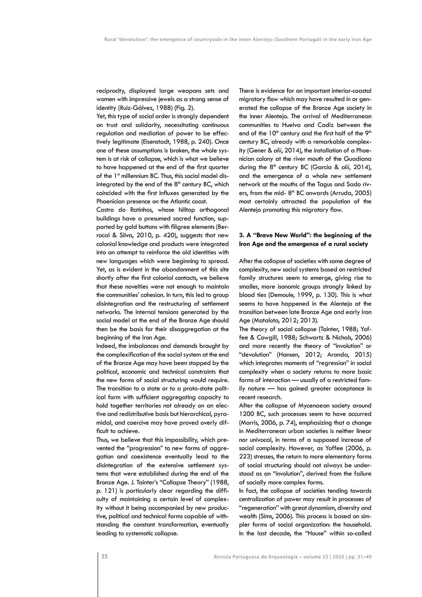reciprocity, displayed large weapons sets and women with impressive jewels as a strong sense of identity (Ruiz-Gálvez, 1988) (Fig. 2).

Yet, this type of social order is strongly dependent on trust and solidarity, necessitating continuous regulation and mediation of power to be effectively legitimate (Eisenstadt, 1988, p. 240). Once one of these assumptions is broken, the whole system is at risk of collapse, which is what we believe to have happened at the end of the first quarter of the 1st millennium BC. Thus, this social model disintegrated by the end of the  $8<sup>th</sup>$  century BC, which coincided with the first influxes generated by the Phoenician presence on the Atlantic coast.

Castro do Ratinhos, whose hilltop orthogonal buildings have a presumed sacred function, supported by gold buttons with filigree elements (Berrocal & Silva, 2010, p. 420), suggests that new colonial knowledge and products were integrated into an attempt to reinforce the old identities with new languages which were beginning to spread. Yet, as is evident in the abandonment of this site shortly after the first colonial contacts, we believe that these novelties were not enough to maintain the communities' cohesion. In turn, this led to group disintegration and the restructuring of settlement networks. The internal tensions generated by the social model at the end of the Bronze Age should then be the basis for their disaggregation at the beginning of the Iron Age.

Indeed, the imbalances and demands brought by the complexification of the social system at the end of the Bronze Age may have been stopped by the political, economic and technical constraints that the new forms of social structuring would require. The transition to a state or to a proto-state political form with sufficient aggregating capacity to hold together territories not already on an elective and redistributive basis but hierarchical, pyramidal, and coercive may have proved overly difficult to achieve.

Thus, we believe that this impossibility, which prevented the "progression" to new forms of aggregation and coexistence eventually lead to the disintegration of the extensive settlement systems that were established during the end of the Bronze Age. J. Tainter's "Collapse Theory" (1988, p. 121) is particularly clear regarding the difficulty of maintaining a certain level of complexity without it being accompanied by new productive, political and technical forms capable of withstanding the constant transformation, eventually leading to systematic collapse.

There is evidence for an important interior-coastal migratory flow which may have resulted in or generated the collapse of the Bronze Age society in the inner Alentejo. The arrival of Mediterranean communities to Huelva and Cadiz between the end of the  $10<sup>th</sup>$  century and the first half of the  $9<sup>th</sup>$ century BC, already with a remarkable complexity (Gener & *alii*, 2014), the installation of a Phoenician colony at the river mouth of the Guadiana during the 8<sup>th</sup> century BC (García & *alii*, 2014), and the emergence of a whole new settlement network at the mouths of the Tagus and Sado rivers, from the mid- $8<sup>th</sup>$  BC onwards (Arruda, 2005) most certainly attracted the population of the Alentejo promoting this migratory flow.

# **3. A "Brave New World": the beginning of the Iron Age and the emergence of a rural society**

After the collapse of societies with some degree of complexity, new social systems based on restricted family structures seem to emerge, giving rise to smaller, more isonomic groups strongly linked by blood ties (Demoule, 1999, p. 130). This is what seems to have happened in the Alentejo at the transition between late Bronze Age and early Iron Age (Mataloto, 2012; 2013).

The theory of social collapse (Tainter, 1988; Yoffee & Cowgill, 1988; Schwartz & Nichols, 2006) and more recently the theory of "involution" or "devolution" (Hansen, 2012; Aranda, 2015) which integrates moments of "regression" in social complexity when a society returns to more basic forms of interaction — usually of a restricted family nature — has gained greater acceptance in recent research.

After the collapse of Mycenaean society around 1200 BC, such processes seem to have occurred (Morris, 2006, p. 74), emphasizing that a change in Mediterranean urban societies is neither linear nor univocal, in terms of a supposed increase of social complexity. However, as Yoffee (2006, p. 223) stresses, the return to more elementary forms of social structuring should not always be understood as an "involution", derived from the failure of socially more complex forms.

In fact, the collapse of societies tending towards centralization of power may result in processes of "regeneration" with great dynamism, diversity and wealth (Sims, 2006). This process is based on simpler forms of social organization: the household. In the last decade, the "House" within so-called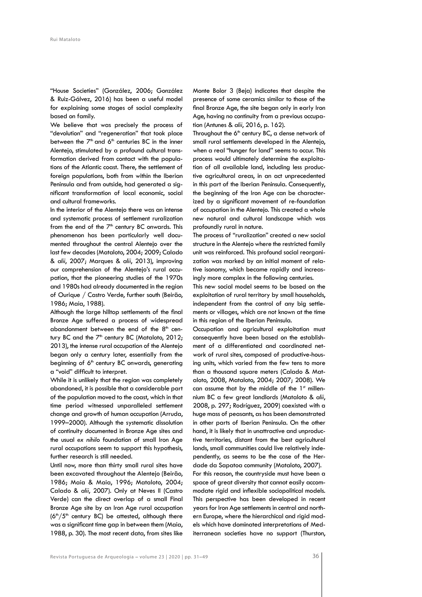"House Societies" (González, 2006; González & Ruiz-Gálvez, 2016) has been a useful model for explaining some stages of social complexity based on family.

We believe that was precisely the process of "devolution" and "regeneration" that took place between the  $7<sup>th</sup>$  and  $6<sup>th</sup>$  centuries BC in the inner Alentejo, stimulated by a profound cultural transformation derived from contact with the populations of the Atlantic coast. There, the settlement of foreign populations, both from within the Iberian Peninsula and from outside, had generated a significant transformation of local economic, social and cultural frameworks.

In the interior of the Alentejo there was an intense and systematic process of settlement ruralization from the end of the  $7<sup>th</sup>$  century BC onwards. This phenomenon has been particularly well documented throughout the central Alentejo over the last few decades (Mataloto, 2004; 2009; Calado & *alii*, 2007; Marques & *alii*, 2013), improving our comprehension of the Alentejo's rural occupation, that the pioneering studies of the 1970s and 1980s had already documented in the region of Ourique / Castro Verde, further south (Beirão, 1986; Maia, 1988).

Although the large hilltop settlements of the final Bronze Age suffered a process of widespread abandonment between the end of the  $8<sup>th</sup>$  century BC and the  $7<sup>th</sup>$  century BC (Mataloto, 2012; 2013), the intense rural occupation of the Alentejo began only a century later, essentially from the beginning of  $6<sup>th</sup>$  century BC onwards, generating a "void" difficult to interpret.

While it is unlikely that the region was completely abandoned, it is possible that a considerable part of the population moved to the coast, which in that time period witnessed unparalleled settlement change and growth of human occupation (Arruda, 1999–2000). Although the systematic dissolution of continuity documented in Bronze Age sites and the usual *ex nihilo* foundation of small Iron Age rural occupations seem to support this hypothesis, further research is still needed.

Until now, more than thirty small rural sites have been excavated throughout the Alentejo (Beirão, 1986; Maia & Maia, 1996; Mataloto, 2004; Calado & *alii*, 2007). Only at Neves II (Castro Verde) can the direct overlap of a small Final Bronze Age site by an Iron Age rural occupation  $(6<sup>th</sup>/5<sup>th</sup>$  century BC) be attested, although there was a significant time gap in between them (Maia, 1988, p. 30). The most recent data, from sites like Monte Bolor 3 (Beja) indicates that despite the presence of some ceramics similar to those of the final Bronze Age, the site began only in early Iron Age, having no continuity from a previous occupation (Antunes & *alii*, 2016, p. 162).

Throughout the  $6<sup>th</sup>$  century BC, a dense network of small rural settlements developed in the Alentejo, when a real "hunger for land" seems to occur. This process would ultimately determine the exploitation of all available land, including less productive agricultural areas, in an act unprecedented in this part of the Iberian Peninsula. Consequently, the beginning of the Iron Age can be characterized by a significant movement of re-foundation of occupation in the Alentejo. This created a whole new natural and cultural landscape which was profoundly rural in nature.

The process of "ruralization" created a new social structure in the Alentejo where the restricted family unit was reinforced. This profound social reorganization was marked by an initial moment of relative isonomy, which became rapidly and increasingly more complex in the following centuries.

This new social model seems to be based on the exploitation of rural territory by small households, independent from the control of any big settlements or villages, which are not known at the time in this region of the Iberian Peninsula.

Occupation and agricultural exploitation must consequently have been based on the establishment of a differentiated and coordinated network of rural sites, composed of productive-housing units, which varied from the few tens to more than a thousand square meters (Calado & Mataloto, 2008, Mataloto, 2004; 2007; 2008). We can assume that by the middle of the 1st millennium BC a few great landlords (Mataloto & *alii*, 2008, p. 297; Rodríguez, 2009) coexisted with a huge mass of peasants, as has been demonstrated in other parts of Iberian Peninsula. On the other hand, it is likely that in unattractive and unproductive territories, distant from the best agricultural lands, small communities could live relatively independently, as seems to be the case of the Herdade da Sapatoa community (Mataloto, 2007). For this reason, the countryside must have been a space of great diversity that cannot easily accommodate rigid and inflexible sociopolitical models. This perspective has been developed in recent years for Iron Age settlements in central and northern Europe, where the hierarchical and rigid mod-

els which have dominated interpretations of Mediterranean societies have no support (Thurston,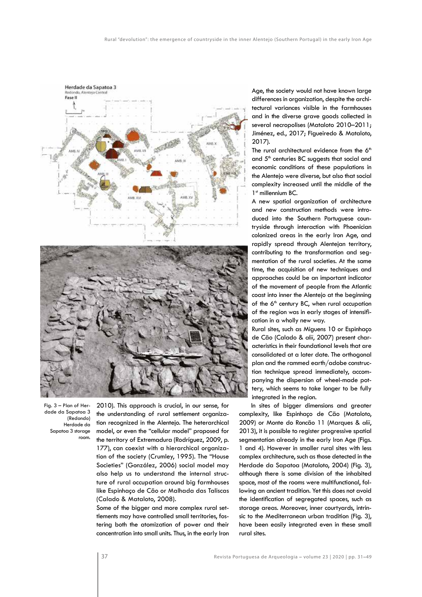

Fig. 3 – Plan of Herdade da Sapatoa 3 (Redondo) Herdade da Sapatoa 3 storage room.

2010). This approach is crucial, in our sense, for the understanding of rural settlement organization recognized in the Alentejo. The heterarchical model, or even the "cellular model" proposed for the territory of Extremadura (Rodríguez, 2009, p. 177), can coexist with a hierarchical organization of the society (Crumley, 1995). The "House Societies" (González, 2006) social model may also help us to understand the internal structure of rural occupation around big farmhouses like Espinhaço de Cão or Malhada das Taliscas (Calado & Mataloto, 2008).

Some of the bigger and more complex rural settlements may have controlled small territories, fostering both the atomization of power and their concentration into small units. Thus, in the early Iron Age, the society would not have known large differences in organization, despite the architectural variances visible in the farmhouses and in the diverse grave goods collected in several necropolises (Mataloto 2010–2011; Jiménez, ed., 2017; Figueiredo & Mataloto, 2017).

The rural architectural evidence from the  $6<sup>th</sup>$ and  $5<sup>th</sup>$  centuries BC suggests that social and economic conditions of these populations in the Alentejo were diverse, but also that social complexity increased until the middle of the  $1<sup>st</sup>$  millennium  $BC$ .

A new spatial organization of architecture and new construction methods were introduced into the Southern Portuguese countryside through interaction with Phoenician colonized areas in the early Iron Age, and rapidly spread through Alentejan territory, contributing to the transformation and segmentation of the rural societies. At the same time, the acquisition of new techniques and approaches could be an important indicator of the movement of people from the Atlantic coast into inner the Alentejo at the beginning of the 6<sup>th</sup> century BC, when rural occupation of the region was in early stages of intensification in a wholly new way.

Rural sites, such as Miguens 10 or Espinhaço de Cão (Calado & *alii*, 2007) present characteristics in their foundational levels that are consolidated at a later date. The orthogonal plan and the rammed earth/adobe construction technique spread immediately, accompanying the dispersion of wheel-made pottery, which seems to take longer to be fully integrated in the region.

In sites of bigger dimensions and greater complexity, like Espinhaço de Cão (Mataloto, 2009) or Monte do Roncão 11 (Marques & *alii*, 2013), it is possible to register progressive spatial segmentation already in the early Iron Age (Figs. 1 and 4). However in smaller rural sites with less complex architecture, such as those detected in the Herdade da Sapatoa (Mataloto, 2004) (Fig. 3), although there is some division of the inhabited space, most of the rooms were multifunctional, following an ancient tradition. Yet this does not avoid the identification of segregated spaces, such as storage areas. Moreover, inner courtyards, intrinsic to the Mediterranean urban tradition (Fig. 3), have been easily integrated even in these small rural sites.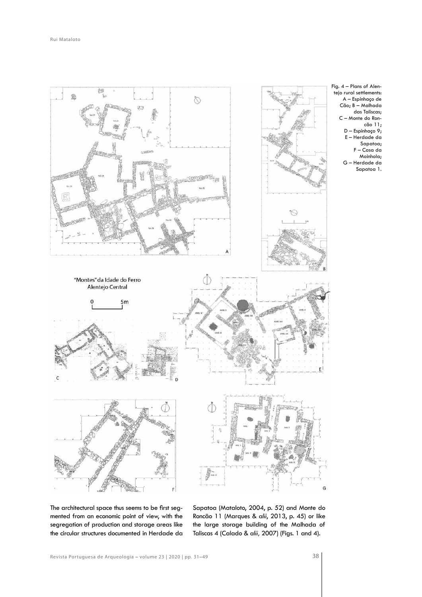

Fig. 4 – Plans of Alentejo rural settlements: A – Espinhaço de Cão; B – Malhada das Taliscas; C – Monte do Roncão 11; D – Espinhaço 9; E – Herdade da Sapatoa; F – Casa da Moinhola; G – Herdade da Sapatoa 1.

The architectural space thus seems to be first segmented from an economic point of view, with the segregation of production and storage areas like the circular structures documented in Herdade da

Sapatoa (Mataloto, 2004, p. 52) and Monte do Roncão 11 (Marques & *alii*, 2013, p. 45) or like the large storage building of the Malhada of Taliscas 4 (Calado & *alii,* 2007) (Figs. 1 and 4).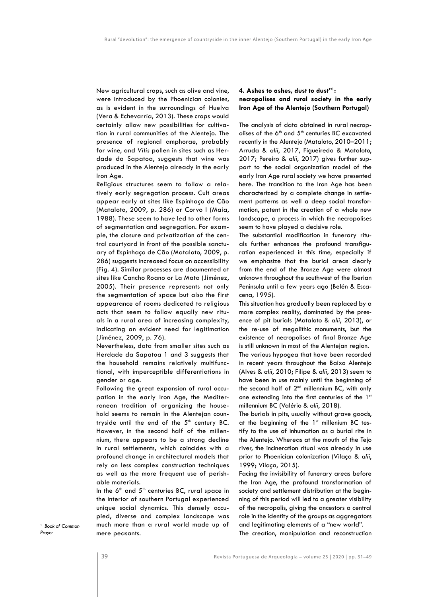New agricultural crops, such as olive and vine, were introduced by the Phoenician colonies, as is evident in the surroundings of Huelva (Vera & Echevarría, 2013). These crops would certainly allow new possibilities for cultivation in rural communities of the Alentejo. The presence of regional amphorae, probably for wine, and *Vitis* pollen in sites such as Herdade da Sapatoa, suggests that wine was produced in the Alentejo already in the early Iron Age.

Religious structures seem to follow a relatively early segregation process. Cult areas appear early at sites like Espinhaço de Cão (Mataloto, 2009, p. 286) or Corvo I (Maia, 1988). These seem to have led to other forms of segmentation and segregation. For example, the closure and privatization of the central courtyard in front of the possible sanctuary of Espinhaço de Cão (Mataloto, 2009, p. 286) suggests increased focus on accessibility (Fig. 4). Similar processes are documented at sites like Cancho Roano or La Mata (Jiménez, 2005). Their presence represents not only the segmentation of space but also the first appearance of rooms dedicated to religious acts that seem to follow equally new rituals in a rural area of increasing complexity, indicating an evident need for legitimation (Jiménez, 2009, p. 76).

Nevertheless, data from smaller sites such as Herdade da Sapatoa 1 and 3 suggests that the household remains relatively multifunctional, with imperceptible differentiations in gender or age.

Following the great expansion of rural occupation in the early Iron Age, the Mediterranean tradition of organizing the household seems to remain in the Alentejan countryside until the end of the  $5<sup>th</sup>$  century BC. However, in the second half of the millennium, there appears to be a strong decline in rural settlements, which coincides with a profound change in architectural models that rely on less complex construction techniques as well as the more frequent use of perishable materials.

In the  $6<sup>th</sup>$  and  $5<sup>th</sup>$  centuries BC, rural space in the interior of southern Portugal experienced unique social dynamics. This densely occupied, diverse and complex landscape was much more than a rural world made up of mere peasants.

# **4. Ashes to ashes, dust to dust"1 : necropolises and rural society in the early Iron Age of the Alentejo (Southern Portugal)**

The analysis of data obtained in rural necropolises of the  $6<sup>th</sup>$  and  $5<sup>th</sup>$  centuries BC excavated recently in the Alentejo (Mataloto, 2010–2011; Arruda & *alii*, 2017, Figueiredo & Mataloto, 2017; Pereiro & *alii*, 2017) gives further support to the social organization model of the early Iron Age rural society we have presented here. The transition to the Iron Age has been characterized by a complete change in settlement patterns as well a deep social transformation, patent in the creation of a whole new landscape, a process in which the necropolises seem to have played a decisive role.

The substantial modification in funerary rituals further enhances the profound transfiguration experienced in this time, especially if we emphasize that the burial areas clearly from the end of the Bronze Age were almost unknown throughout the southwest of the Iberian Peninsula until a few years ago (Belén & Escacena, 1995).

This situation has gradually been replaced by a more complex reality, dominated by the presence of pit burials (Mataloto & *alii*, 2013), or the re-use of megalithic monuments, but the existence of necropolises of final Bronze Age is still unknown in most of the Alentejan region. The various hypogea that have been recorded in recent years throughout the Baixo Alentejo (Alves & *alii*, 2010; Filipe & *alii*, 2013) seem to have been in use mainly until the beginning of the second half of 2<sup>nd</sup> millennium BC, with only one extending into the first centuries of the 1st millennium BC (Valério & *alii*, 2018).

The burials in pits, usually without grave goods, at the beginning of the 1st millenium BC testify to the use of inhumation as a burial rite in the Alentejo. Whereas at the mouth of the Tejo river, the incineration ritual was already in use prior to Phoenician colonization (Vilaça & *alii*, 1999; Vilaça, 2015).

Facing the invisibility of funerary areas before the Iron Age, the profound transformation of society and settlement distribution at the beginning of this period will led to a greater visibility of the necropolis, giving the ancestors a central role in the identity of the groups as aggregators and legitimating elements of a "new world". The creation, manipulation and reconstruction

1 *Book of Common Prayer*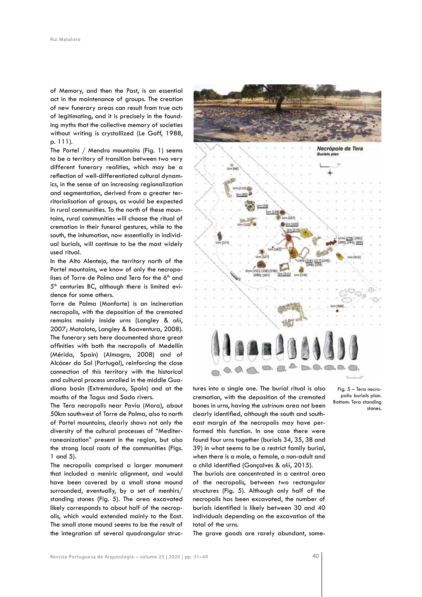of Memory, and then the Past, is an essential act in the maintenance of groups. The creation of new funerary areas can result from true acts of legitimating, and it is precisely in the founding myths that the collective memory of societies without writing is crystallized (Le Goff, 1988, p. 111).

The Portel / Mendro mountains (Fig. 1) seems to be a territory of transition between two very different funerary realities, which may be a reflection of well-differentiated cultural dynamics, in the sense of an increasing regionalization and segmentation, derived from a greater territorialisation of groups, as would be expected in rural communities. To the north of these mountains, rural communities will choose the ritual of cremation in their funeral gestures, while to the south, the inhumation, now essentially in individual burials, will continue to be the most widely used ritual.

In the Alto Alentejo, the territory north of the Portel mountains, we know of only the necropolises of Torre de Palma and Tera for the 6<sup>th</sup> and  $5<sup>th</sup>$  centuries BC, although there is limited evidence for some others.

Torre de Palma (Monforte) is an incineration necropolis, with the deposition of the cremated remains mainly inside urns (Langley & *alii*, 2007; Mataloto, Langley & Boaventura, 2008). The funerary sets here documented share great affinities with both the necropolis of Medellín (Mérida, Spain) (Almagro, 2008) and of Alcácer do Sal (Portugal), reinforcing the close connection of this territory with the historical and cultural process unrolled in the middle Guadiana basin (Extremadura, Spain) and at the mouths of the Tagus and Sado rivers.

The Tera necropolis near Pavia (Mora), about 50km southwest of Torre de Palma, also to north of Portel mountains, clearly shows not only the diversity of the cultural processes of "Mediterraneanization" present in the region, but also the strong local roots of the communities (Figs. 1 and 5).

The necropolis comprised a larger monument that included a meníric alignment, and would have been covered by a small stone mound surrounded, eventually, by a set of menhirs/ standing stones (Fig. 5). The area excavated likely corresponds to about half of the necropolis, which would extended mainly to the East. The small stone mound seems to be the result of the integration of several quadrangular struc-



tures into a single one. The burial ritual is also cremation, with the deposition of the cremated bones in urns, having the *ustrinum* area not been clearly identified, although the south and southeast margin of the necropolis may have performed this function. In one case there were found four urns together (burials 34, 35, 38 and 39) in what seems to be a restrict family burial, when there is a male, a female, a non-adult and a child identified (Gonçalves & *alii*, 2015).

The burials are concentrated in a central area of the necropolis, between two rectangular structures (Fig. 5). Although only half of the necropolis has been excavated, the number of burials identified is likely between 30 and 40 individuals depending on the excavation of the total of the urns.

The grave goods are rarely abundant, some-

Fig. 5 – Tera necropolis: burials plan. Bottom: Tera standing stones.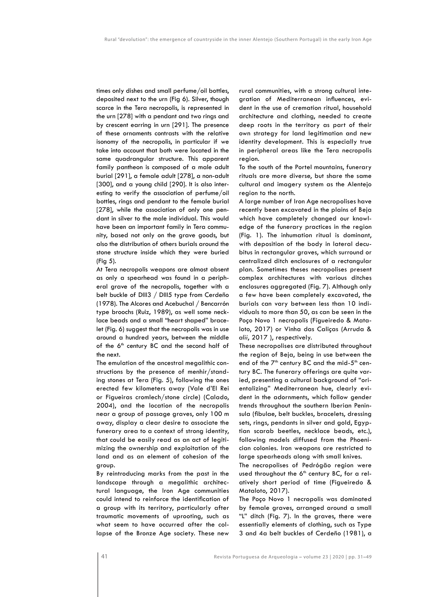times only dishes and small perfume/oil bottles, deposited next to the urn (Fig 6). Silver, though scarce in the Tera necropolis, is represented in the urn [278] with a pendant and two rings and by crescent earring in urn [291]. The presence of these ornaments contrasts with the relative isonomy of the necropolis, in particular if we take into account that both were located in the same quadrangular structure. This apparent family pantheon is composed of a male adult burial [291], a female adult [278], a non-adult [300], and a young child [290]. It is also interesting to verify the association of perfume/oil bottles, rings and pendant to the female burial [278], while the association of only one pendant in silver to the male individual. This would have been an important family in Tera community, based not only on the grave goods, but also the distribution of others burials around the stone structure inside which they were buried (Fig 5).

At Tera necropolis weapons are almost absent as only a spearhead was found in a peripheral grave of the necropolis, together with a belt buckle of DIII3 / DIII5 type from Cerdeño (1978). The Alcores and Acebuchal / Bencarrón type broochs (Ruiz, 1989), as well some necklace beads and a small "heart shaped" bracelet (Fig. 6) suggest that the necropolis was in use around a hundred years, between the middle of the 6<sup>th</sup> century BC and the second half of the next.

The emulation of the ancestral megalithic constructions by the presence of menhir/standing stones at Tera (Fig. 5), following the ones erected few kilometers away (Vale d'El Rei or Figueiras cromlech/stone circle) (Calado, 2004), and the location of the necropolis near a group of passage graves, only 100 m away, display a clear desire to associate the funerary area to a context of strong identity, that could be easily read as an act of legitimizing the ownership and exploitation of the land and as an element of cohesion of the group.

By reintroducing marks from the past in the landscape through a megalithic architectural language, the Iron Age communities could intend to reinforce the identification of a group with its territory, particularly after traumatic movements of uprooting, such as what seem to have occurred after the collapse of the Bronze Age society. These new rural communities, with a strong cultural integration of Mediterranean influences, evident in the use of cremation ritual, household architecture and clothing, needed to create deep roots in the territory as part of their own strategy for land legitimation and new identity development. This is especially true in peripheral areas like the Tera necropolis region.

To the south of the Portel mountains, funerary rituals are more diverse, but share the same cultural and imagery system as the Alentejo region to the north.

A large number of Iron Age necropolises have recently been excavated in the plains of Beja which have completely changed our knowledge of the funerary practices in the region (Fig. 1). The inhumation ritual is dominant, with deposition of the body in lateral decubitus in rectangular graves, which surround or centralized ditch enclosures of a rectangular plan. Sometimes theses necropolises present complex architectures with various ditches enclosures aggregated (Fig. 7). Although only a few have been completely excavated, the burials can vary between less than 10 individuals to more than 50, as can be seen in the Poço Novo 1 necropolis (Figueiredo & Mataloto, 2017) or Vinha das Caliças (Arruda & *alii*, 2017 ), respectively.

These necropolises are distributed throughout the region of Beja, being in use between the end of the  $7<sup>th</sup>$  century BC and the mid- $5<sup>th</sup>$  century BC. The funerary offerings are quite varied, presenting a cultural background of "orientalizing" Mediterranean hue, clearly evident in the adornments, which follow gender trends throughout the southern Iberian Peninsula (fibulae, belt buckles, bracelets, dressing sets, rings, pendants in silver and gold, Egyptian scarab beetles, necklace beads, etc.), following models diffused from the Phoenician colonies. Iron weapons are restricted to large spearheads along with small knives.

The necropolises of Pedrógão region were used throughout the 6<sup>th</sup> century BC, for a relatively short period of time (Figueiredo & Mataloto, 2017).

The Poço Novo 1 necropolis was dominated by female graves, arranged around a small "L" ditch (Fig. 7). In the graves, there were essentially elements of clothing, such as Type 3 and 4a belt buckles of Cerdeño (1981), a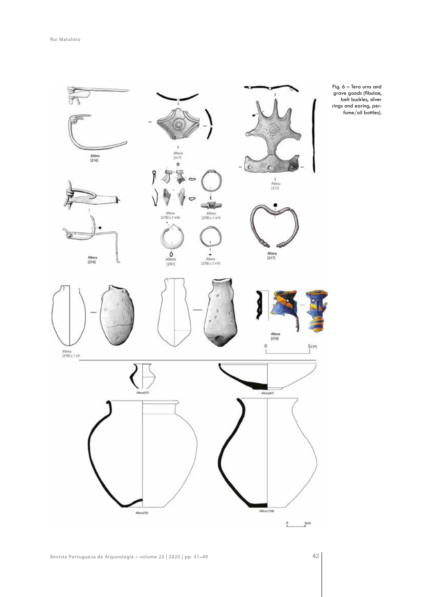

Fig. 6 – Tera urns and grave goods (fibulae, belt buckles, silver rings and earing, perfume/oil bottles).

42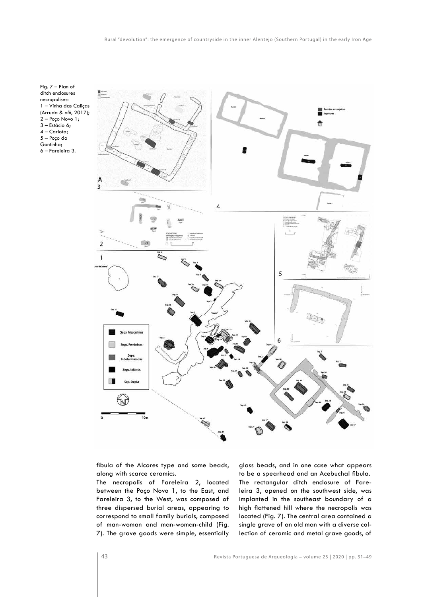Fig. 7 – Plan of ditch enclosures necropolises: 1 – Vinha das Caliças (Arruda & *alii*, 2017); 2 – Poço Novo 1; 3 – Estácio 6; 4 – Carlota; 5 – Poço da Gontinha; 6 – Fareleira 3.



fibula of the Alcores type and some beads, along with scarce ceramics.

The necropolis of Fareleira 2, located between the Poço Novo 1, to the East, and Fareleira 3, to the West, was composed of three dispersed burial areas, appearing to correspond to small family burials, composed of man-woman and man-woman-child (Fig. 7). The grave goods were simple, essentially

glass beads, and in one case what appears to be a spearhead and an Acebuchal fibula. The rectangular ditch enclosure of Fareleira 3, opened on the southwest side, was implanted in the southeast boundary of a high flattened hill where the necropolis was located (Fig. 7). The central area contained a single grave of an old man with a diverse collection of ceramic and metal grave goods, of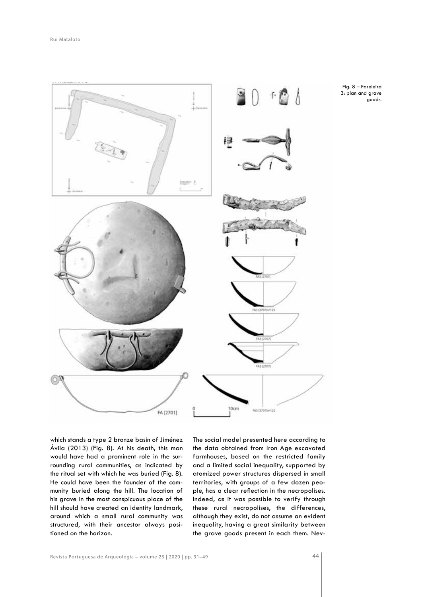

which stands a type 2 bronze basin of Jiménez Ávila (2013) (Fig. 8). At his death, this man would have had a prominent role in the surrounding rural communities, as indicated by the ritual set with which he was buried (Fig. 8). He could have been the founder of the community buried along the hill. The location of his grave in the most conspicuous place of the hill should have created an identity landmark, around which a small rural community was structured, with their ancestor always positioned on the horizon.

The social model presented here according to the data obtained from Iron Age excavated farmhouses, based on the restricted family and a limited social inequality, supported by atomized power structures dispersed in small territories, with groups of a few dozen people, has a clear reflection in the necropolises. Indeed, as it was possible to verify through these rural necropolises, the differences, although they exist, do not assume an evident inequality, having a great similarity between the grave goods present in each them. Nev-

Revista Portuguesa de Arqueologia – volume 23 | 2020 | pp. 31–49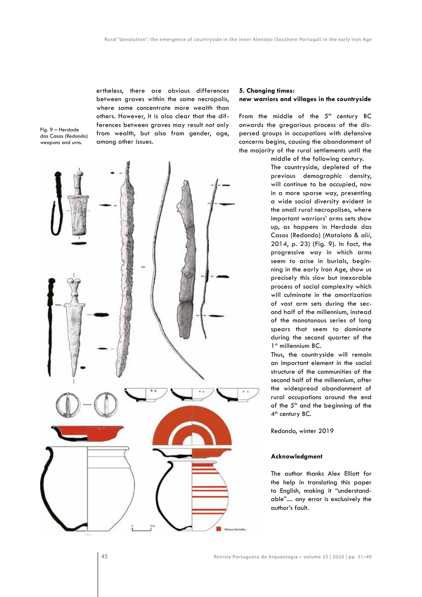ertheless, there are obvious differences between graves within the same necropolis, where some concentrate more wealth than others. However, it is also clear that the differences between graves may result not only from wealth, but also from gender, age, among other issues.

Fig. 9 – Herdade das Casas (Redondo) weapons and urns.



# **5. Changing times: new warriors and villages in the countryside**

From the middle of the  $5<sup>th</sup>$  century BC onwards the gregarious process of the dispersed groups in occupations with defensive concerns begins, causing the abandonment of the majority of the rural settlements until the middle of the following century.

The countryside, depleted of the previous demographic density, will continue to be occupied, now in a more sparse way, presenting a wide social diversity evident in the small rural necropolises, where important warriors' arms sets show up, as happens in Herdade das Casas (Redondo) (Mataloto & *alii*, 2014, p. 23) (Fig. 9). In fact, the progressive way in which arms seem to arise in burials, beginning in the early Iron Age, show us precisely this slow but inexorable process of social complexity which will culminate in the amortization of vast arm sets during the second half of the millennium, instead of the monotonous series of long spears that seem to dominate during the second quarter of the 1<sup>st</sup> millennium BC.

Thus, the countryside will remain an important element in the social structure of the communities of the second half of the millennium, after the widespread abandonment of rural occupations around the end of the  $5<sup>th</sup>$  and the beginning of the 4<sup>th</sup> century BC.

Redondo, winter 2019

# **Acknowledgment**

The author thanks Alex Elliott for the help in translating this paper to English, making it "understandable".... any error is exclusively the author's fault.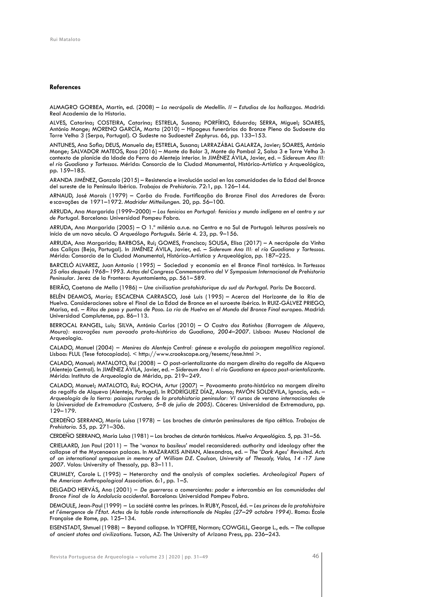#### **References**

ALMAGRO GORBEA, Martín, ed. (2008) – *La necrópolis de Medellín. II – Estudios de los hallazgos*. Madrid: Real Academia de la Historia.

ALVES, Catarina; COSTEIRA, Catarina; ESTRELA, Susana; PORFÍRIO, Eduardo; SERRA, Miguel; SOARES, António Monge; MORENO GARCÍA, Marta (2010) – Hipogeus funerários do Bronze Pleno do Sudoeste da Torre Velha 3 (Serpa, Portugal). O Sudeste no Sudoeste? *Zephyrus*. 66, pp. 133–153.

ANTUNES, Ana Sofia; DEUS, Manuela de; ESTRELA, Susana; LARRAZÁBAL GALARZA, Javier; SOARES, António Monge; SALVADOR MATEOS, Rosa (2016) – Monte do Bolor 3, Monte do Pombal 2, Salsa 3 e Torre Velha 3: contexto de planície da Idade do Ferro do Alentejo interior. In JIMÉNEZ ÁVILA, Javier, ed. – *Sidereum Ana III: el río Guadiana y Tartessos*. Mérida: Consorcio de la Ciudad Monumental, Histórico-Artística y Arqueológica, pp. 159–185.

ARANDA JIMÉNEZ, Gonzalo (2015) – Resistencia e involución social en las comunidades de la Edad del Bronce del sureste de la Península Ibérica. *Trabajos de Prehistoria*. 72:1, pp. 126–144.

ARNAUD, José Morais (1979) – Corôa do Frade. Fortificação do Bronze Final dos Arredores de Évora: escavações de 1971–1972. *Madrider Mitteilungen*. 20, pp. 56–100.

ARRUDA, Ana Margarida (1999–2000) – *Los fenicios en Portugal: fenicios y mundo indígena en el centro y sur de Portugal*. Barcelona: Universidad Pompeu Fabra.

ARRUDA, Ana Margarida (2005) – O 1.º milénio a.n.e. no Centro e no Sul de Portugal: leituras possíveis no início de um novo século. *O Arqueólogo Português*. Série 4. 23, pp. 9–156.

ARRUDA, Ana Margarida; BARBOSA, Rui; GOMES, Francisco; SOUSA, Elisa (2017) – A necrópole da Vinha das Caliças (Beja, Portugal). In JIMÉNEZ ÁVILA, Javier, ed. – *Sidereum Ana III: el río Guadiana y Tartessos*. Mérida: Consorcio de la Ciudad Monumental, Histórico-Artística y Arqueológica, pp. 187–225.

BARCELÓ ALVAREZ, Juan Antonio ( 1995) – Sociedad y economía en el Bronce Final tartésico. In *Tartessos 25 años después 1968*–*1993. Actas del Congreso Conmemorativo del V Symposium Internacional de Prehistoria Peninsular*. Jerez de la Frontera: Ayuntamiento, pp. 561–589.

BEIRÃO, Caetano de Mello (1986) – *Une civilisation protohistorique du sud du Portugal.* Paris: De Boccard.

BELÉN DEAMOS, María; ESCACENA CARRASCO, José Luis (1995) – Acerca del Horizonte de la Ría de Huelva. Consideraciones sobre el Final de La Edad de Bronce en el suroeste ibérico. In RUIZ-GÁLVEZ PRIEGO, Marisa, ed. – *Ritos de paso y puntos de Paso. La ría de Huelva en el Mundo del Bronce Final europeo.* Madrid: Universidad Complutense, pp. 86–113.

BERROCAL RANGEL, Luis; SILVA, António Carlos (2010) – *O Castro dos Ratinhos (Barragem de Alqueva, Moura): escavações num povoado proto-histórico do Guadiana, 2004–2007*. Lisboa: Museu Nacional de Arqueologia.

CALADO, Manuel (2004) – *Menires do Alentejo Central: génese e evolução da paisagem megalítica regional*. Lisboa: FLUL (Tese fotocopiada). < http://www.crookscape.org/tesemc/tese.html >.

CALADO, Manuel; MATALOTO, Rui (2008) – O post-orientalizante da margem direita do regolfo de Alqueva (Alentejo Central). In JIMÉNEZ ÁVILA, Javier, ed. – *Sidereum Ana I: el río Guadiana en época post-orientalizante*. Mérida: Instituto de Arqueología de Mérida, pp. 219–249.

CALADO, Manuel; MATALOTO, Rui; ROCHA, Artur (2007) – Povoamento proto-histórico na margem direita do regolfo de Alqueva (Alentejo, Portugal). In RODRÍGUEZ DÍAZ, Alonso; PAVÓN SOLDEVILA, Ignacio, eds. *– Arqueología de la tierra: paisajes rurales de la protohistoria peninsular: VI cursos de verano internacionales de la Universidad de Extremadura (Castuera, 5–8 de julio de 2005).* Cáceres: Universidad de Extremadura, pp. 129–179.

CERDEÑO SERRANO, María Luisa (1978) – Los broches de cinturón peninsulares de tipo céltico. *Trabajos de Prehistoria*. 55, pp. 271–306.

CERDEÑO SERRANO, María Luisa (1981) – Los broches de cinturón tartésicos. *Huelva Arqueológica.* 5, pp. 31–56.

CRIELAARD, Jan Paul (2011) – The 'w*anax* to *basileus*' model reconsidered: authority and ideology after the collapse of the Mycenaean palaces. In MAZARAKIS AINIAN, Alexandros, ed. – *The 'Dark Ages' Revisited. Acts of an international symposium in memory of William D.E. Coulson, University of Thessaly, Volos, 14 -17 June 2007*. Volos: University of Thessaly, pp. 83–111.

CRUMLEY, Carole L. (1995) – Heterarchy and the analysis of complex societies. *Archeological Papers of the American Anthropological Association*. 6:1, pp. 1–5.

DELGADO HERVÁS, Ana (2001) – *De guerreros a comerciantes: poder e intercambio en las comunidades del Bronce Final de la Andalucía occidental*. Barcelona: Universidad Pompeu Fabra.

DEMOULE, Jean-Paul (1999) – La société contre les princes. In RUBY, Pascal, éd. – *Les princes de la protohistoire et l'émergence de l'État. Actes de la table ronde internationale de Naples (27–29 octobre 1994).* Roma: École Française de Rome, pp. 125–134.

EISENSTADT, Shmuel (1988) – Beyond collapse. In YOFFEE, Norman; COWGILL, George L., eds. – *The collapse of ancient states and civilizations*. Tucson, AZ: The University of Arizona Press, pp. 236–243.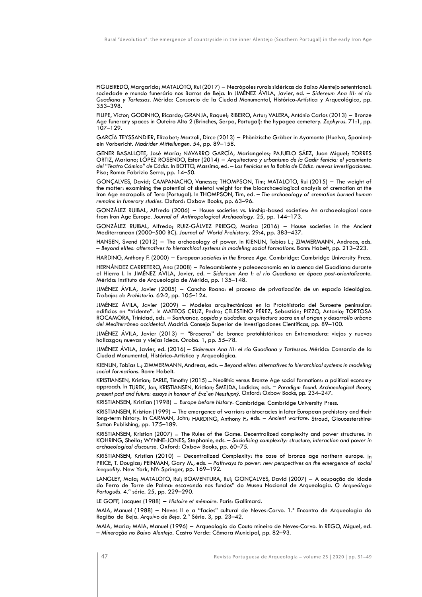FIGUEIREDO, Margarida; MATALOTO, Rui (2017) – Necrópoles rurais sidéricas do Baixo Alentejo setentrional: sociedade e mundo funerário nos Barros de Beja. In JIMÉNEZ ÁVILA, Javier, ed. – *Sidereum Ana III: el río Guadiana y Tartessos*. Mérida: Consorcio de la Ciudad Monumental, Histórico-Artística y Arqueológica, pp. 353–398.

FILIPE, Victor; GODINHO, Ricardo; GRANJA, Raquel; RIBEIRO, Artur; VALERA, António Carlos (2013) – Bronze Age funerary spaces in Outeiro Alto 2 (Brinches, Serpa, Portugal): the hypogea cemetery. *Zephyrus*. 71:1, pp. 107–129.

GARCÍA TEYSSANDIER, Elizabet; Marzoli, Dirce (2013) – Phönizische Gräber in Ayamonte (Huelva, Spanien): ein Vorbericht. *Madrider Mitteilungen*. 54, pp. 89–158.

GENER BASALLOTE, José María; NAVARRO GARCÍA, Mariangeles; PAJUELO SÁEZ, Juan Miguel; TORRES ORTIZ, Mariano; LÓPEZ ROSENDO, Ester (2014) – *Arquitectura y urbanismo de la Gadir fenicia: el yacimiento del "Teatro Cómico" de Cádiz.* In BOTTO, Massimo, ed. – *Los Fenicios en la Bahía de Cádiz: nuevas investigaciones*. Pisa; Roma: Fabrizio Serra, pp. 14–50.

GONÇALVES, David; CAMPANACHO, Vanessa; THOMPSON, Tim; MATALOTO, Rui (2015) – The weight of the matter: examining the potential of skeletal weight for the bioarchaeological analysis of cremation at the Iron Age necropolis of Tera (Portugal). In THOMPSON, Tim, ed. – *The archaeology of cremation burned human remains in funerary studies.* Oxford: Oxbow Books, pp. 63–96.

GONZÁLEZ RUIBAL, Alfredo (2006) – House societies vs. kinship-based societies: An archaeological case from Iron Age Europe. *Journal of Anthropological Archaeology*. 25, pp. 144–173.

GONZÁLEZ RUIBAL, Alfredo; RUIZ-GÁLVEZ PRIEGO, Marisa (2016) – House societies in the Ancient Mediterranean (2000–500 BC). *Journal of World Prehistory*. 29:4, pp. 383–437.

HANSEN, Svend (2012) – The archaeology of power. In KIENLIN, Tobias L.; ZIMMERMANN, Andreas, eds. – *Beyond elites: alternatives to hierarchical systems in modeling social formations*. Bonn: Habelt, pp. 213–223.

HARDING, Anthony F. (2000) – *European societies in the Bronze Age*. Cambridge: Cambridge University Press.

HERNÁNDEZ CARRETERO, Ana (2008) – Paleoambiente y paleoeconomía en la cuenca del Guadiana durante el Hierro I. In JIMÉNEZ ÁVILA, Javier, ed. – *Sidereum Ana I: el río Guadiana en época post-orientalizante*. Mérida: Instituto de Arqueología de Mérida, pp. 135–148.

JIMÉNEZ ÁVILA, Javier (2005) – Cancho Roano: el proceso de privatización de un espacio ideológico. *Trabajos de Prehistoria*. 62:2, pp. 105–124.

JIMÉNEZ ÁVILA, Javier (2009) – Modelos arquitectónicos en la Protohistoria del Suroeste peninsular: edificios en "tridente". In MATEOS CRUZ, Pedro; CELESTINO PÉREZ, Sebastián; PIZZO, Antonio; TORTOSA ROCAMORA, Trinidad, eds. – *Santuarios, oppida y ciudades: arquitectura sacra en el origen y desarrollo urbano del Mediterráneo occidental.* Madrid: Consejo Superior de Investigaciones Científicas, pp. 89–100.

JIMÉNEZ ÁVILA, Javier (2013) – "Braseros" de bronce protohistóricos en Extremadura: viejos y nuevos hallazgos; nuevas y viejas ideas. *Onoba*. 1, pp. 55–78.

JIMÉNEZ ÁVILA, Javier, ed. (2016) – *Sidereum Ana III: el río Guadiana y Tartessos*. Mérida: Consorcio de la Ciudad Monumental, Histórico-Artística y Arqueológica.

KIENLIN, Tobias L.; ZIMMERMANN, Andreas, eds. – *Beyond elites: alternatives to hierarchical systems in modeling social formations*. Bonn: Habelt.

KRISTIANSEN, Kristian; EARLE, Timothy (2015) – Neolithic versus Bronze Age social formations: a political economy approach. In TUREK, Jan, KRISTIANSEN, Kristian; ŠMEJDA, Ladislav, eds. – *Paradigm found. Archaeological theory, present past and future: essays in honour of Evz*̌*en Neustupný*. Oxford: Oxbow Books, pp. 234–247.

KRISTIANSEN, Kristian (1998) – *Europe before history*. Cambridge: Cambridge University Press.

KRISTIANSEN, Kristian (1999) – The emergence of warriors aristocracies in later European prehistory and their long-term history. In CARMAN, John; HARDING, Anthony F., eds. – *Ancient warfare*. Stroud, Gloucestershire: Sutton Publishing, pp. 175–189.

KRISTIANSEN, Kristian (2007) – The Rules of the Game. Decentralized complexity and power structures. In KOHRING, Sheila; WYNNE-JONES, Stephanie, eds. – *Socialising complexity: structure, interaction and power in archaeological discourse*. Oxford: Oxbow Books, pp. 60–75.

KRISTIANSEN, Kristian (2010) – Decentralized Complexity: the case of bronze age northern europe. In PRICE, T. Douglas; FEINMAN, Gary M., eds. – *Pathways to power: new perspectives on the emergence of social inequality*. New York, NY: Springer, pp. 169–192.

LANGLEY, Maia; MATALOTO, Rui; BOAVENTURA, Rui; GONÇALVES, David (2007) – A ocupação da Idade do Ferro de Torre de Palma: escavando nos fundos" do Museu Nacional de Arqueologia. *O Arqueólogo Português*. 4.ª série. 25, pp. 229–290.

LE GOFF, Jacques (1988) **–** *Histoire et mémoire*. Paris: Gallimard.

MAIA, Manuel (1988) – Neves II e a "facies" cultural de Neves-Corvo. 1.º Encontro de Arqueologia da Região de Beja. *Arquivo de Beja*. 2.ª Série. 3, pp. 23–42.

MAIA, Maria; MAIA, Manuel (1996) – Arqueologia do Couto mineiro de Neves-Corvo. In REGO, Miguel, ed. – *Mineração no Baixo Alentejo*. Castro Verde: Câmara Municipal, pp. 82–93.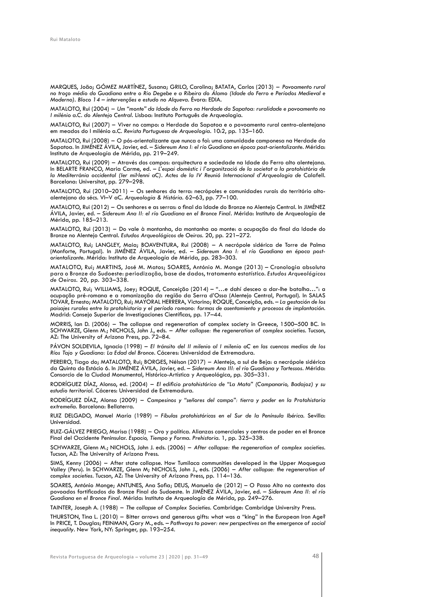MARQUES, João; GÓMEZ MARTÍNEZ, Susana; GRILO, Carolina; BATATA, Carlos (2013) – *Povoamento rural no troço médio do Guadiana entre o Rio Degebe e a Ribeira do Álamo (Idade do Ferro e Períodos Medieval e Moderno). Bloco 14 – intervenções e estudo no Alqueva*. Évora: EDIA.

MATALOTO, Rui (2004) – *Um "monte" da Idade do Ferro na Herdade da Sapatoa: ruralidade e povoamento no I milénio a.C. do Alentejo Central*. Lisboa: Instituto Português de Arqueologia.

MATALOTO, Rui (2007) – Viver no campo: a Herdade da Sapatoa e o povoamento rural centro-alentejano em meados do I milénio a.C. *Revista Portuguesa de Arqueologia*. 10:2, pp. 135–160.

MATALOTO, Rui (2008) – O pós-orientalizante que nunca o foi: uma comunidade camponesa na Herdade da Sapatoa. In JIMÉNEZ ÁVILA, Javier, ed. – *Sidereum Ana I: el río Guadiana en época post-orientalizante*. Mérida: Instituto de Arqueología de Mérida, pp. 219–249.

MATALOTO, Rui (2009) – Através dos campos: arquitectura e sociedade na Idade do Ferro alto alentejana. In BELARTE FRANCO, Maria Carme, ed. – *L'espai domèstic i l'organització de la societat a la protohistòria de*  la Mediterrània occidental (Ier mil·lenni aC). Actes de la IV Reunió Internacional d'Arqueologia de Calafell. Barcelona: Universitat, pp. 279–298.

MATALOTO, Rui (2010–2011) – Os senhores da terra: necrópoles e comunidades rurais do território altoalentejano do sécs. VI–V aC. *Arqueologia & História*. 62–63, pp. 77–100.

MATALOTO, Rui (2012) – Os senhores e as serras: o final da Idade do Bronze no Alentejo Central. In JIMÉNEZ ÁVILA, Javier, ed. – *Sidereum Ana II: el río Guadiana en el Bronce Final*. Mérida: Instituto de Arqueología de Mérida, pp. 185–213.

MATALOTO, Rui (2013) – Do vale à montanha, da montanha ao monte: a ocupação do final da Idade do Bronze no Alentejo Central. *Estudos Arqueológicos de Oeiras*. 20, pp. 221–272.

MATALOTO, Rui; LANGLEY, Maia; BOAVENTURA, Rui (2008) – A necrópole sidérica de Torre de Palma (Monforte, Portugal). In JIMÉNEZ ÁVILA, Javier, ed. – *Sidereum Ana I: el río Guadiana en época postorientalizante*. Mérida: Instituto de Arqueología de Mérida, pp. 283–303.

MATALOTO, Rui; MARTINS, José M. Matos; SOARES, António M. Monge (2013) – Cronologia absoluta para o Bronze do Sudoeste: periodização, base de dados, tratamento estatístico. *Estudos Arqueológicos de Oeiras*. 20, pp. 303–338.

MATALOTO, Rui; WILLIAMS, Joey; ROQUE, Conceição (2014) – "…e dahí desceo a dar-lhe batalha…": a ocupação pré-romana e a romanização da região da Serra d'Ossa (Alentejo Central, Portugal). In SALAS TOVAR, Ernesto; MATALOTO, Rui; MAYORAL HERRERA, Victorino; ROQUE, Conceição, eds. – *La gestación de los paisajes rurales entre la protohistoria y el período romano: formas de asentamiento y procesos de implantación*. Madrid: Consejo Superior de Investigaciones Científicas, pp. 17–44.

MORRIS, Ian D. (2006) – The collapse and regeneration of complex society in Greece, 1500–500 BC. In SCHWARZE, Glenn M.; NICHOLS, John J., eds. – *After collapse: the regeneration of complex societies*. Tucson, AZ: The University of Arizona Press, pp. 72–84.

PÁVON SOLDEVILA, Ignacio (1998) – *El tránsito del II milenio al I milenio aC en las cuencas medias de los Ríos Tajo y Guadiana: La Edad del Bronce*. Cáceres: Universidad de Extremadura.

PEREIRO, Tiago do; MATALOTO, Rui; BORGES, Nélson (2017) – Alentejo, a sul de Beja: a necrópole sidérica da Quinta do Estácio 6. In JIMÉNEZ ÁVILA, Javier, ed. – *Sidereum Ana III: el río Guadiana y Tartessos*. Mérida: Consorcio de la Ciudad Monumental, Histórico-Artística y Arqueológica, pp. 305–331.

RODRÍGUEZ DÍAZ, Alonso, ed. (2004) – *El edificio protohistórico de "La Mata" (Campanario, Badajoz) y su estudio territorial*. Cáceres: Universidad de Extremadura.

RODRÍGUEZ DÍAZ, Alonso (2009) – *Campesinos y "señores del campo": tierra y poder en la Protohistoria extremeña*. Barcelona: Bellaterra.

RUIZ DELGADO, Manuel María (1989) – *Fíbulas protohistóricas en el Sur de la Península Ibérica*. Sevilla: Universidad.

RUIZ-GÁLVEZ PRIEGO, Marisa (1988) – Oro y política. Alianzas comerciales y centros de poder en el Bronce Final del Occidente Peninsular. *Espacio, Tiempo y Forma. Prehistoria.* 1, pp. 325–338.

SCHWARZE, Glenn M.; NICHOLS, John J. eds. (2006) – *After collapse: the regeneration of complex societies*. Tucson, AZ: The University of Arizona Press.

SIMS, Kenny (2006) – After state collapse. How Tumilaca communities developed in the Upper Moquegua Valley (Peru). In SCHWARZE, Glenn M; NICHOLS, John J., eds. (2006) – *After collapse: the regeneration of complex societies*. Tucson, AZ: The University of Arizona Press, pp. 114–136.

SOARES, António Monge; ANTUNES, Ana Sofia; DEUS, Manuela de (2012) – O Passo Alto no contexto dos povoados fortificados do Bronze Final do Sudoeste. In JIMÉNEZ ÁVILA, Javier, ed. – *Sidereum Ana II: el río Guadiana en el Bronce Final*. Mérida: Instituto de Arqueología de Mérida, pp. 249–276.

TAINTER, Joseph A. (1988) – *The collapse of Complex Societies*. Cambridge: Cambridge University Press.

THURSTON, Tina L. (2010) – Bitter arrows and generous gifts: what was a "king" in the European Iron Age? In PRICE, T. Douglas; FEINMAN, Gary M., eds. – *Pathways to power: new perspectives on the emergence of social inequality*. New York, NY: Springer, pp. 193–254.